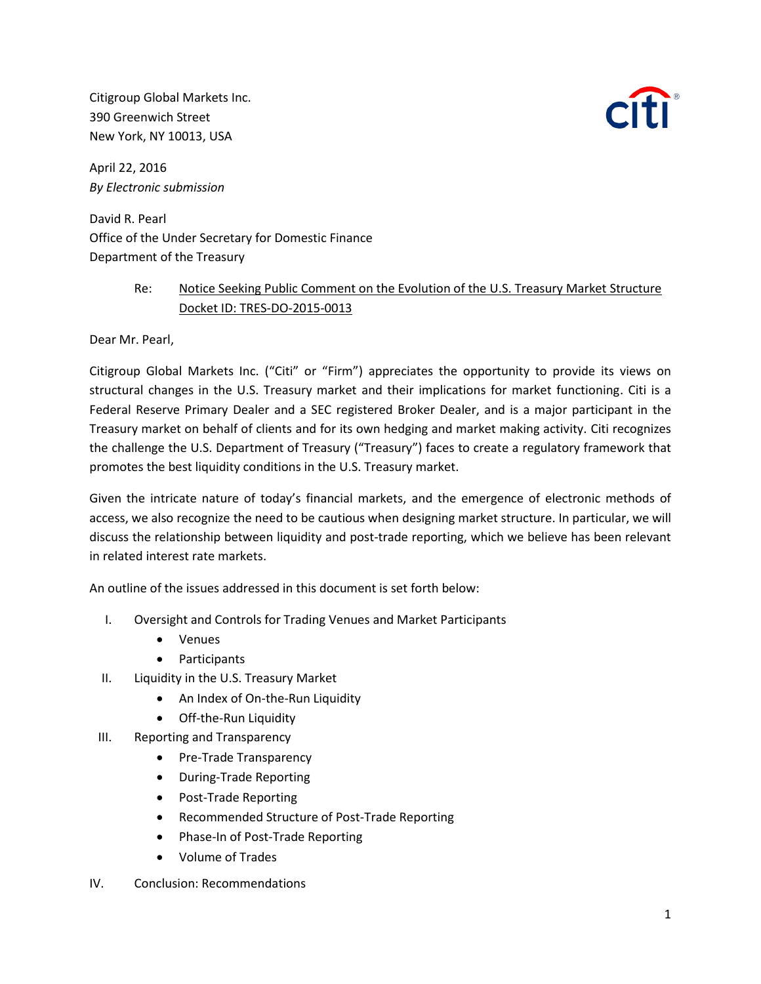Citigroup Global Markets Inc. 390 Greenwich Street New York, NY 10013, USA



April 22, 2016 *By Electronic submission*

David R. Pearl Office of the Under Secretary for Domestic Finance Department of the Treasury

## Re: Notice Seeking Public Comment on the Evolution of the U.S. Treasury Market Structure Docket ID: TRES-DO-2015-0013

Dear Mr. Pearl,

Citigroup Global Markets Inc. ("Citi" or "Firm") appreciates the opportunity to provide its views on structural changes in the U.S. Treasury market and their implications for market functioning. Citi is a Federal Reserve Primary Dealer and a SEC registered Broker Dealer, and is a major participant in the Treasury market on behalf of clients and for its own hedging and market making activity. Citi recognizes the challenge the U.S. Department of Treasury ("Treasury") faces to create a regulatory framework that promotes the best liquidity conditions in the U.S. Treasury market.

Given the intricate nature of today's financial markets, and the emergence of electronic methods of access, we also recognize the need to be cautious when designing market structure. In particular, we will discuss the relationship between liquidity and post-trade reporting, which we believe has been relevant in related interest rate markets.

An outline of the issues addressed in this document is set forth below:

- I. Oversight and Controls for Trading Venues and Market Participants
	- Venues
	- Participants
- II. Liquidity in the U.S. Treasury Market
	- An Index of On-the-Run Liquidity
	- Off-the-Run Liquidity
- III. Reporting and Transparency
	- Pre-Trade Transparency
	- During-Trade Reporting
	- Post-Trade Reporting
	- Recommended Structure of Post-Trade Reporting
	- Phase-In of Post-Trade Reporting
	- Volume of Trades
- IV. Conclusion: Recommendations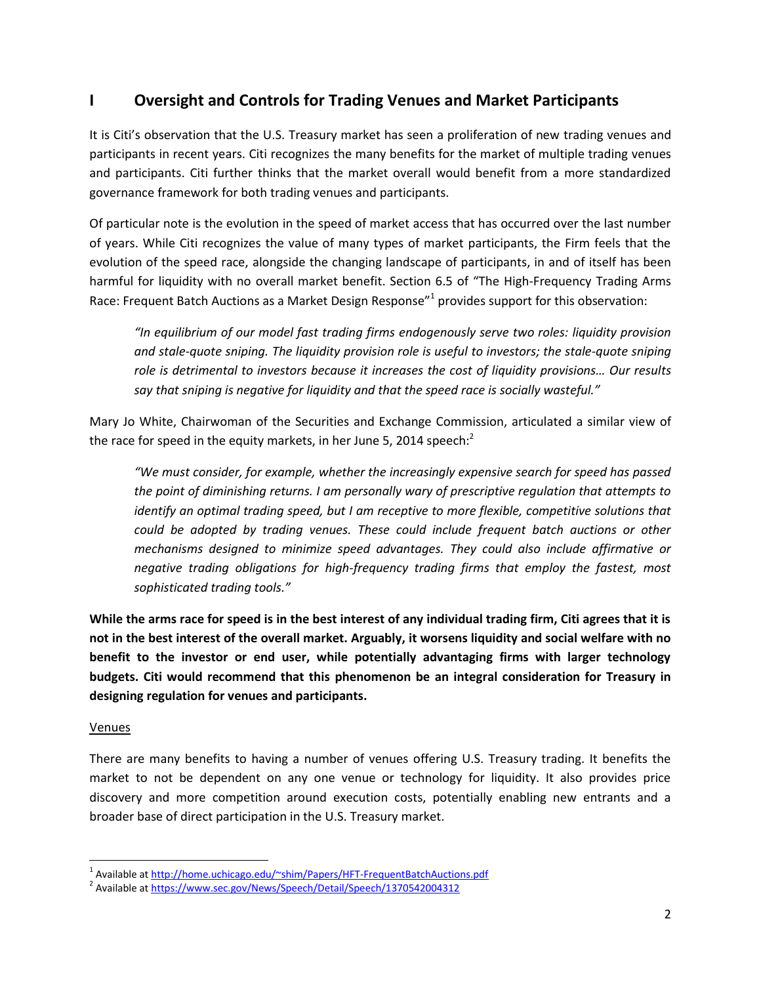# **I Oversight and Controls for Trading Venues and Market Participants**

It is Citi's observation that the U.S. Treasury market has seen a proliferation of new trading venues and participants in recent years. Citi recognizes the many benefits for the market of multiple trading venues and participants. Citi further thinks that the market overall would benefit from a more standardized governance framework for both trading venues and participants.

Of particular note is the evolution in the speed of market access that has occurred over the last number of years. While Citi recognizes the value of many types of market participants, the Firm feels that the evolution of the speed race, alongside the changing landscape of participants, in and of itself has been harmful for liquidity with no overall market benefit. Section 6.5 of "The High-Frequency Trading Arms Race: Frequent Batch Auctions as a Market Design Response<sup>"1</sup> provides support for this observation:

*"In equilibrium of our model fast trading firms endogenously serve two roles: liquidity provision and stale-quote sniping. The liquidity provision role is useful to investors; the stale-quote sniping role is detrimental to investors because it increases the cost of liquidity provisions… Our results say that sniping is negative for liquidity and that the speed race is socially wasteful."*

Mary Jo White, Chairwoman of the Securities and Exchange Commission, articulated a similar view of the race for speed in the equity markets, in her June 5, 2014 speech:<sup>2</sup>

*"We must consider, for example, whether the increasingly expensive search for speed has passed the point of diminishing returns. I am personally wary of prescriptive regulation that attempts to identify an optimal trading speed, but I am receptive to more flexible, competitive solutions that could be adopted by trading venues. These could include frequent batch auctions or other mechanisms designed to minimize speed advantages. They could also include affirmative or negative trading obligations for high-frequency trading firms that employ the fastest, most sophisticated trading tools."*

**While the arms race for speed is in the best interest of any individual trading firm, Citi agrees that it is not in the best interest of the overall market. Arguably, it worsens liquidity and social welfare with no benefit to the investor or end user, while potentially advantaging firms with larger technology budgets. Citi would recommend that this phenomenon be an integral consideration for Treasury in designing regulation for venues and participants.**

## Venues

 $\overline{\phantom{a}}$ 

There are many benefits to having a number of venues offering U.S. Treasury trading. It benefits the market to not be dependent on any one venue or technology for liquidity. It also provides price discovery and more competition around execution costs, potentially enabling new entrants and a broader base of direct participation in the U.S. Treasury market.

<sup>&</sup>lt;sup>1</sup> Available at<http://home.uchicago.edu/~shim/Papers/HFT-FrequentBatchAuctions.pdf>

<sup>&</sup>lt;sup>2</sup> Available at<https://www.sec.gov/News/Speech/Detail/Speech/1370542004312>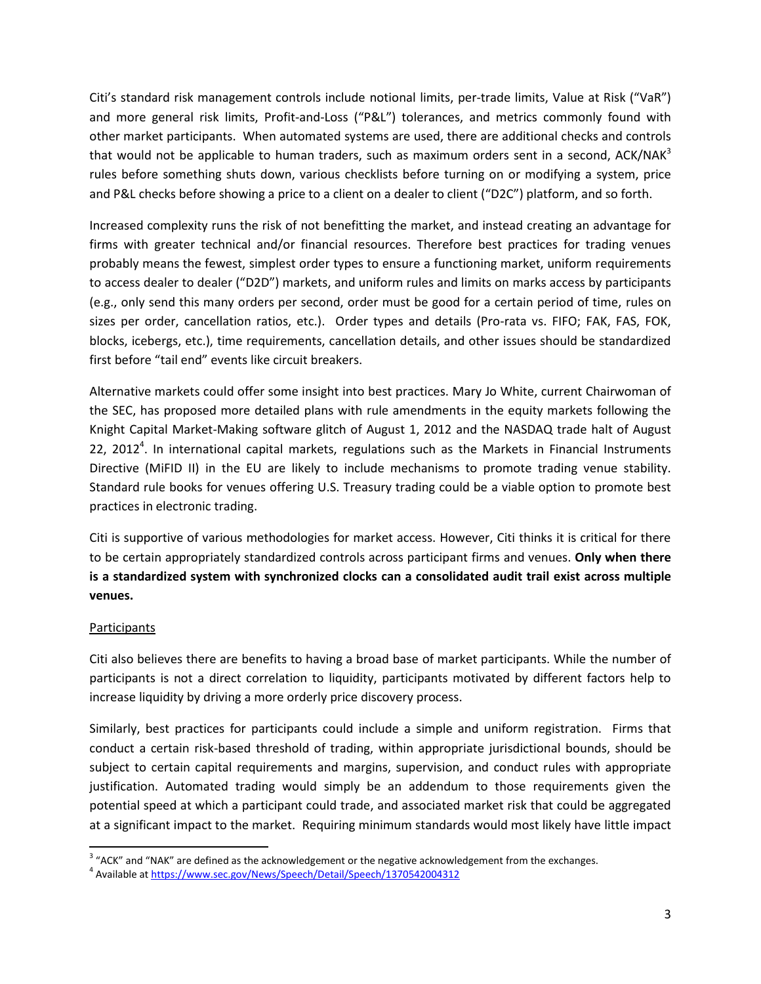Citi's standard risk management controls include notional limits, per-trade limits, Value at Risk ("VaR") and more general risk limits, Profit-and-Loss ("P&L") tolerances, and metrics commonly found with other market participants. When automated systems are used, there are additional checks and controls that would not be applicable to human traders, such as maximum orders sent in a second, ACK/NAK<sup>3</sup> rules before something shuts down, various checklists before turning on or modifying a system, price and P&L checks before showing a price to a client on a dealer to client ("D2C") platform, and so forth.

Increased complexity runs the risk of not benefitting the market, and instead creating an advantage for firms with greater technical and/or financial resources. Therefore best practices for trading venues probably means the fewest, simplest order types to ensure a functioning market, uniform requirements to access dealer to dealer ("D2D") markets, and uniform rules and limits on marks access by participants (e.g., only send this many orders per second, order must be good for a certain period of time, rules on sizes per order, cancellation ratios, etc.). Order types and details (Pro-rata vs. FIFO; FAK, FAS, FOK, blocks, icebergs, etc.), time requirements, cancellation details, and other issues should be standardized first before "tail end" events like circuit breakers.

Alternative markets could offer some insight into best practices. Mary Jo White, current Chairwoman of the SEC, has proposed more detailed plans with rule amendments in the equity markets following the Knight Capital Market-Making software glitch of August 1, 2012 and the NASDAQ trade halt of August 22, 2012<sup>4</sup>. In international capital markets, regulations such as the Markets in Financial Instruments Directive (MiFID II) in the EU are likely to include mechanisms to promote trading venue stability. Standard rule books for venues offering U.S. Treasury trading could be a viable option to promote best practices in electronic trading.

Citi is supportive of various methodologies for market access. However, Citi thinks it is critical for there to be certain appropriately standardized controls across participant firms and venues. **Only when there is a standardized system with synchronized clocks can a consolidated audit trail exist across multiple venues.**

#### **Participants**

Citi also believes there are benefits to having a broad base of market participants. While the number of participants is not a direct correlation to liquidity, participants motivated by different factors help to increase liquidity by driving a more orderly price discovery process.

Similarly, best practices for participants could include a simple and uniform registration. Firms that conduct a certain risk-based threshold of trading, within appropriate jurisdictional bounds, should be subject to certain capital requirements and margins, supervision, and conduct rules with appropriate justification. Automated trading would simply be an addendum to those requirements given the potential speed at which a participant could trade, and associated market risk that could be aggregated at a significant impact to the market. Requiring minimum standards would most likely have little impact

l  $3$  "ACK" and "NAK" are defined as the acknowledgement or the negative acknowledgement from the exchanges.

<sup>&</sup>lt;sup>4</sup> Available at<https://www.sec.gov/News/Speech/Detail/Speech/1370542004312>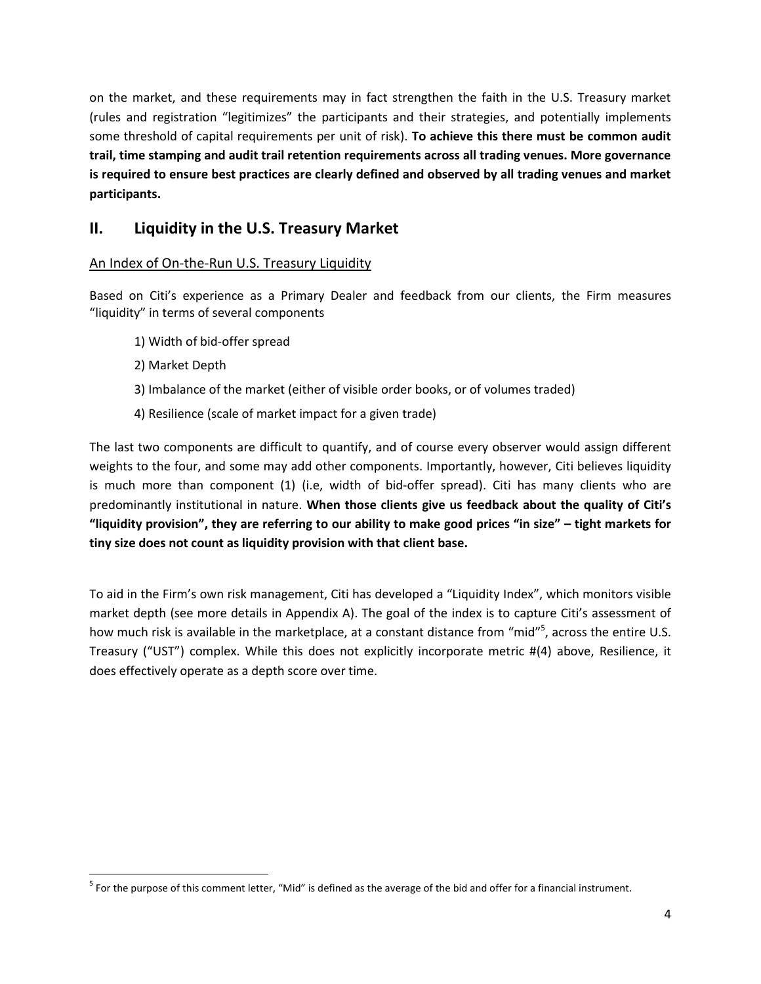on the market, and these requirements may in fact strengthen the faith in the U.S. Treasury market (rules and registration "legitimizes" the participants and their strategies, and potentially implements some threshold of capital requirements per unit of risk). **To achieve this there must be common audit trail, time stamping and audit trail retention requirements across all trading venues. More governance is required to ensure best practices are clearly defined and observed by all trading venues and market participants.**

# **II. Liquidity in the U.S. Treasury Market**

## An Index of On-the-Run U.S. Treasury Liquidity

Based on Citi's experience as a Primary Dealer and feedback from our clients, the Firm measures "liquidity" in terms of several components

- 1) Width of bid-offer spread
- 2) Market Depth

 $\overline{a}$ 

- 3) Imbalance of the market (either of visible order books, or of volumes traded)
- 4) Resilience (scale of market impact for a given trade)

The last two components are difficult to quantify, and of course every observer would assign different weights to the four, and some may add other components. Importantly, however, Citi believes liquidity is much more than component (1) (i.e, width of bid-offer spread). Citi has many clients who are predominantly institutional in nature. **When those clients give us feedback about the quality of Citi's "liquidity provision", they are referring to our ability to make good prices "in size" – tight markets for tiny size does not count as liquidity provision with that client base.** 

To aid in the Firm's own risk management, Citi has developed a "Liquidity Index", which monitors visible market depth (see more details in Appendix A). The goal of the index is to capture Citi's assessment of how much risk is available in the marketplace, at a constant distance from "mid"<sup>5</sup>, across the entire U.S. Treasury ("UST") complex. While this does not explicitly incorporate metric #(4) above, Resilience, it does effectively operate as a depth score over time.

<sup>&</sup>lt;sup>5</sup> For the purpose of this comment letter, "Mid" is defined as the average of the bid and offer for a financial instrument.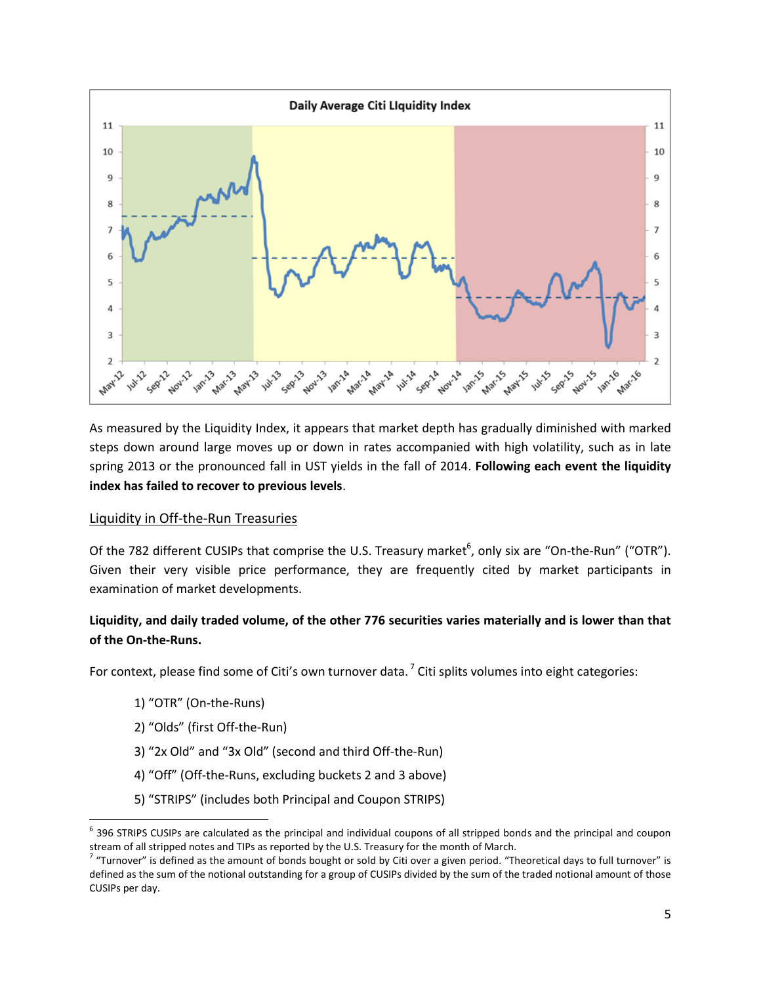

As measured by the Liquidity Index, it appears that market depth has gradually diminished with marked steps down around large moves up or down in rates accompanied with high volatility, such as in late spring 2013 or the pronounced fall in UST yields in the fall of 2014. **Following each event the liquidity index has failed to recover to previous levels**.

#### Liquidity in Off-the-Run Treasuries

Of the 782 different CUSIPs that comprise the U.S. Treasury market<sup>6</sup>, only six are "On-the-Run" ("OTR"). Given their very visible price performance, they are frequently cited by market participants in examination of market developments.

## **Liquidity, and daily traded volume, of the other 776 securities varies materially and is lower than that of the On-the-Runs.**

For context, please find some of Citi's own turnover data. <sup>7</sup> Citi splits volumes into eight categories:

1) "OTR" (On-the-Runs)

 $\overline{\phantom{a}}$ 

- 2) "Olds" (first Off-the-Run)
- 3) "2x Old" and "3x Old" (second and third Off-the-Run)
- 4) "Off" (Off-the-Runs, excluding buckets 2 and 3 above)
- 5) "STRIPS" (includes both Principal and Coupon STRIPS)

 $^6$  396 STRIPS CUSIPs are calculated as the principal and individual coupons of all stripped bonds and the principal and coupon stream of all stripped notes and TIPs as reported by the U.S. Treasury for the month of March.<br><sup>7</sup> "Turnover" is defined as the amount of bonds bought or sold by Citi over a given period. "Theoretical days to full turnover

defined as the sum of the notional outstanding for a group of CUSIPs divided by the sum of the traded notional amount of those CUSIPs per day.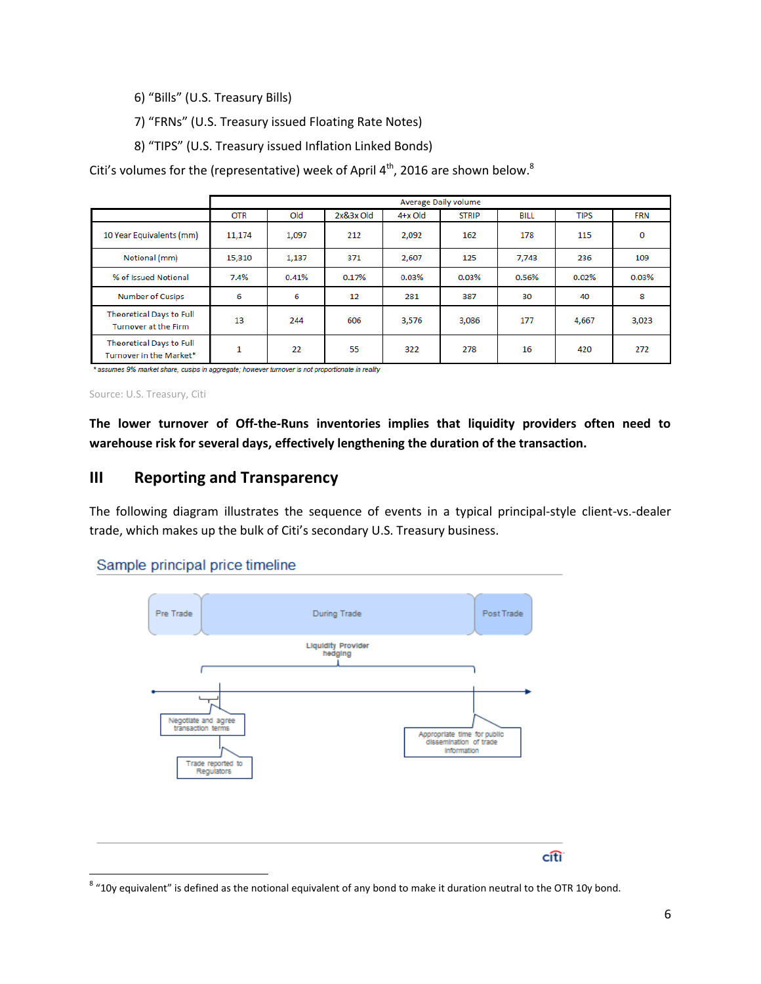- 6) "Bills" (U.S. Treasury Bills)
- 7) "FRNs" (U.S. Treasury issued Floating Rate Notes)
- 8) "TIPS" (U.S. Treasury issued Inflation Linked Bonds)

Citi's volumes for the (representative) week of April 4<sup>th</sup>, 2016 are shown below.<sup>8</sup>

|                                                     | Average Daily volume |       |             |         |              |             |             |            |
|-----------------------------------------------------|----------------------|-------|-------------|---------|--------------|-------------|-------------|------------|
|                                                     | <b>OTR</b>           | Old   | $2x&3x$ Old | 4+x Old | <b>STRIP</b> | <b>BILL</b> | <b>TIPS</b> | <b>FRN</b> |
| 10 Year Equivalents (mm)                            | 11,174               | 1,097 | 212         | 2,092   | 162          | 178         | 115         | $\Omega$   |
| Notional (mm)                                       | 15,310               | 1,137 | 371         | 2,607   | 125          | 7,743       | 236         | 109        |
| % of Issued Notional                                | 7.4%                 | 0.41% | 0.17%       | 0.03%   | 0.03%        | 0.56%       | 0.02%       | 0.03%      |
| Number of Cusips                                    | 6                    | 6     | 12          | 281     | 387          | 30          | 40          | 8          |
| Theoretical Days to Full<br>Turnover at the Firm    | 13                   | 244   | 606         | 3,576   | 3,086        | 177         | 4,667       | 3,023      |
| Theoretical Days to Full<br>Turnover in the Market* | 1                    | 22    | 55          | 322     | 278          | 16          | 420         | 272        |

\* assumes 9% market share, cusips in aggregate; however turnover is not proportionate in reality

Source: U.S. Treasury, Citi

 $\overline{a}$ 

**The lower turnover of Off-the-Runs inventories implies that liquidity providers often need to warehouse risk for several days, effectively lengthening the duration of the transaction.** 

# **III Reporting and Transparency**

The following diagram illustrates the sequence of events in a typical principal-style client-vs.-dealer trade, which makes up the bulk of Citi's secondary U.S. Treasury business.

## Sample principal price timeline



 $^8$  "10y equivalent" is defined as the notional equivalent of any bond to make it duration neutral to the OTR 10y bond.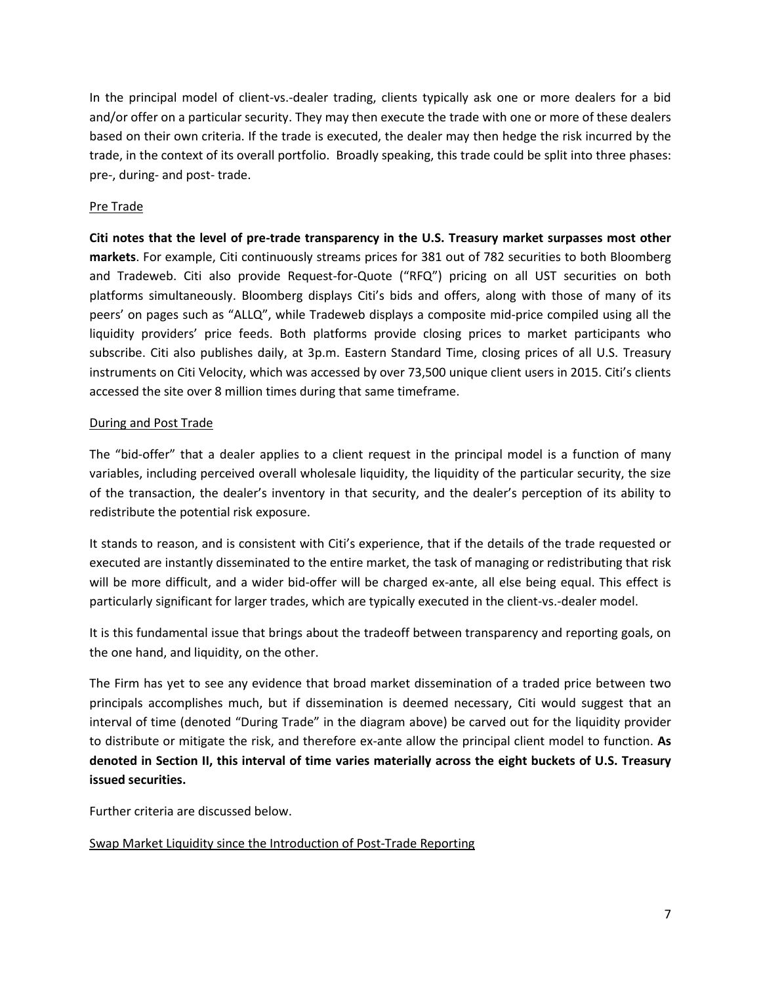In the principal model of client-vs.-dealer trading, clients typically ask one or more dealers for a bid and/or offer on a particular security. They may then execute the trade with one or more of these dealers based on their own criteria. If the trade is executed, the dealer may then hedge the risk incurred by the trade, in the context of its overall portfolio. Broadly speaking, this trade could be split into three phases: pre-, during- and post- trade.

## Pre Trade

**Citi notes that the level of pre-trade transparency in the U.S. Treasury market surpasses most other markets**. For example, Citi continuously streams prices for 381 out of 782 securities to both Bloomberg and Tradeweb. Citi also provide Request-for-Quote ("RFQ") pricing on all UST securities on both platforms simultaneously. Bloomberg displays Citi's bids and offers, along with those of many of its peers' on pages such as "ALLQ", while Tradeweb displays a composite mid-price compiled using all the liquidity providers' price feeds. Both platforms provide closing prices to market participants who subscribe. Citi also publishes daily, at 3p.m. Eastern Standard Time, closing prices of all U.S. Treasury instruments on Citi Velocity, which was accessed by over 73,500 unique client users in 2015. Citi's clients accessed the site over 8 million times during that same timeframe.

#### During and Post Trade

The "bid-offer" that a dealer applies to a client request in the principal model is a function of many variables, including perceived overall wholesale liquidity, the liquidity of the particular security, the size of the transaction, the dealer's inventory in that security, and the dealer's perception of its ability to redistribute the potential risk exposure.

It stands to reason, and is consistent with Citi's experience, that if the details of the trade requested or executed are instantly disseminated to the entire market, the task of managing or redistributing that risk will be more difficult, and a wider bid-offer will be charged ex-ante, all else being equal. This effect is particularly significant for larger trades, which are typically executed in the client-vs.-dealer model.

It is this fundamental issue that brings about the tradeoff between transparency and reporting goals, on the one hand, and liquidity, on the other.

The Firm has yet to see any evidence that broad market dissemination of a traded price between two principals accomplishes much, but if dissemination is deemed necessary, Citi would suggest that an interval of time (denoted "During Trade" in the diagram above) be carved out for the liquidity provider to distribute or mitigate the risk, and therefore ex-ante allow the principal client model to function. **As denoted in Section II, this interval of time varies materially across the eight buckets of U.S. Treasury issued securities.**

Further criteria are discussed below.

## Swap Market Liquidity since the Introduction of Post-Trade Reporting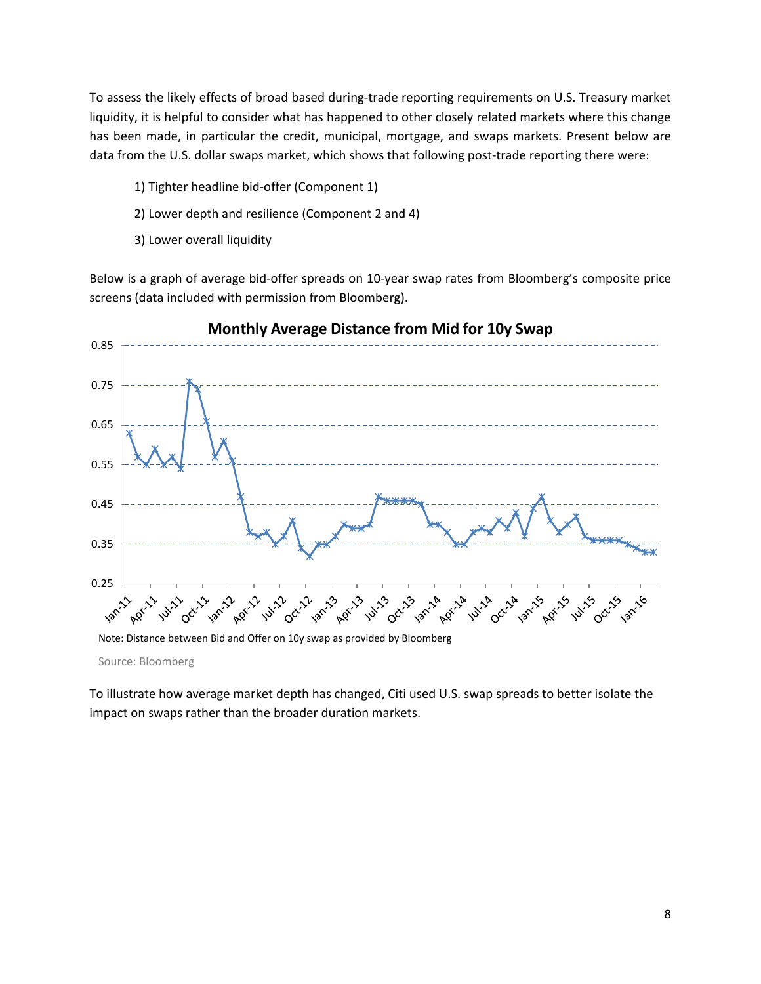To assess the likely effects of broad based during-trade reporting requirements on U.S. Treasury market liquidity, it is helpful to consider what has happened to other closely related markets where this change has been made, in particular the credit, municipal, mortgage, and swaps markets. Present below are data from the U.S. dollar swaps market, which shows that following post-trade reporting there were:

- 1) Tighter headline bid-offer (Component 1)
- 2) Lower depth and resilience (Component 2 and 4)
- 3) Lower overall liquidity

Below is a graph of average bid-offer spreads on 10-year swap rates from Bloomberg's composite price screens (data included with permission from Bloomberg).



**Monthly Average Distance from Mid for 10y Swap**

Note: Distance between Bid and Offer on 10y swap as provided by Bloomberg

Source: Bloomberg

To illustrate how average market depth has changed, Citi used U.S. swap spreads to better isolate the impact on swaps rather than the broader duration markets.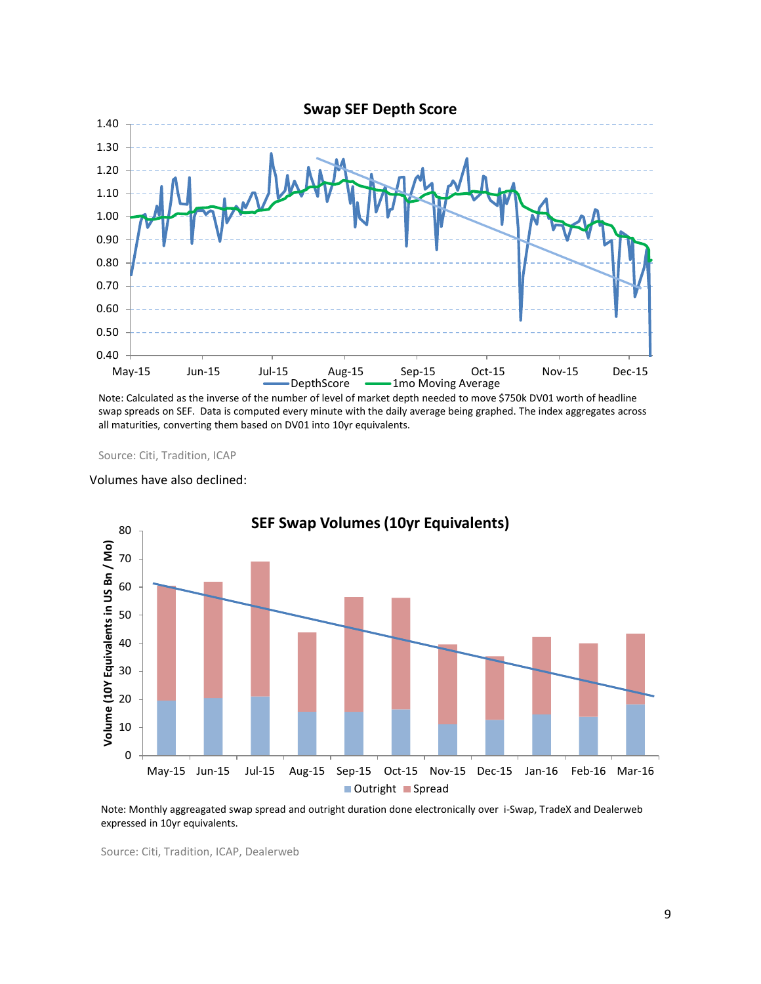

Note: Calculated as the inverse of the number of level of market depth needed to move \$750k DV01 worth of headline swap spreads on SEF. Data is computed every minute with the daily average being graphed. The index aggregates across all maturities, converting them based on DV01 into 10yr equivalents.

Source: Citi, Tradition, ICAP

#### Volumes have also declined:



Note: Monthly aggreagated swap spread and outright duration done electronically over i-Swap, TradeX and Dealerweb expressed in 10yr equivalents.

Source: Citi, Tradition, ICAP, Dealerweb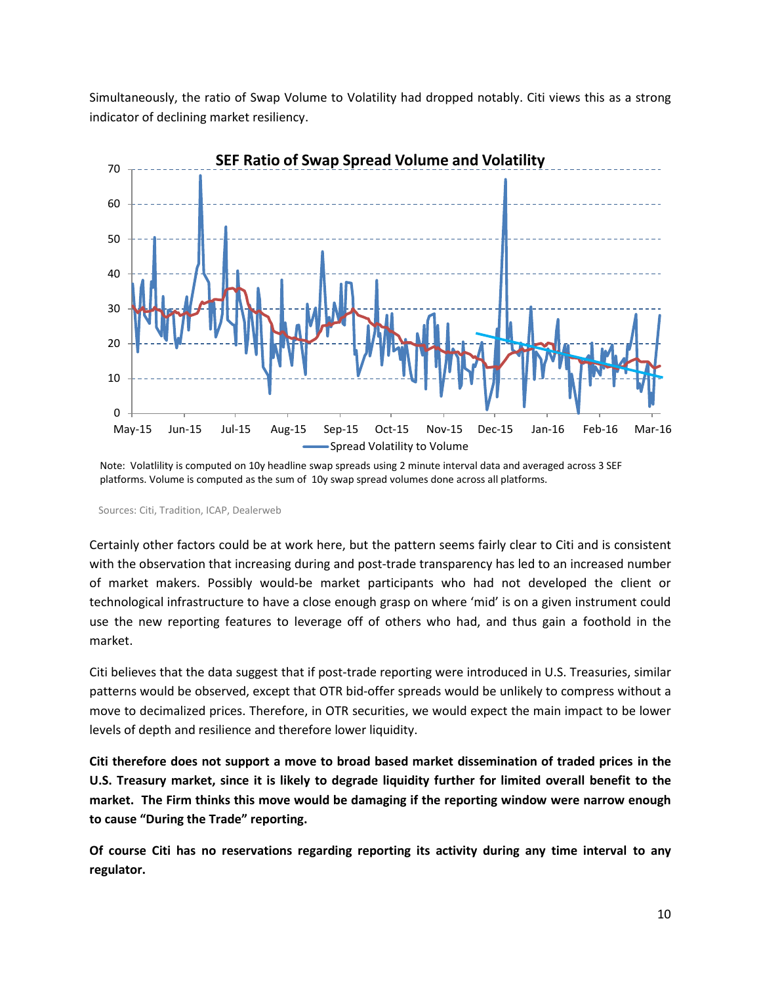Simultaneously, the ratio of Swap Volume to Volatility had dropped notably. Citi views this as a strong indicator of declining market resiliency.



Note: Volatlility is computed on 10y headline swap spreads using 2 minute interval data and averaged across 3 SEF platforms. Volume is computed as the sum of 10y swap spread volumes done across all platforms.

Sources: Citi, Tradition, ICAP, Dealerweb

Certainly other factors could be at work here, but the pattern seems fairly clear to Citi and is consistent with the observation that increasing during and post-trade transparency has led to an increased number of market makers. Possibly would-be market participants who had not developed the client or technological infrastructure to have a close enough grasp on where 'mid' is on a given instrument could use the new reporting features to leverage off of others who had, and thus gain a foothold in the market.

Citi believes that the data suggest that if post-trade reporting were introduced in U.S. Treasuries, similar patterns would be observed, except that OTR bid-offer spreads would be unlikely to compress without a move to decimalized prices. Therefore, in OTR securities, we would expect the main impact to be lower levels of depth and resilience and therefore lower liquidity.

**Citi therefore does not support a move to broad based market dissemination of traded prices in the U.S. Treasury market, since it is likely to degrade liquidity further for limited overall benefit to the market. The Firm thinks this move would be damaging if the reporting window were narrow enough to cause "During the Trade" reporting.**

**Of course Citi has no reservations regarding reporting its activity during any time interval to any regulator.**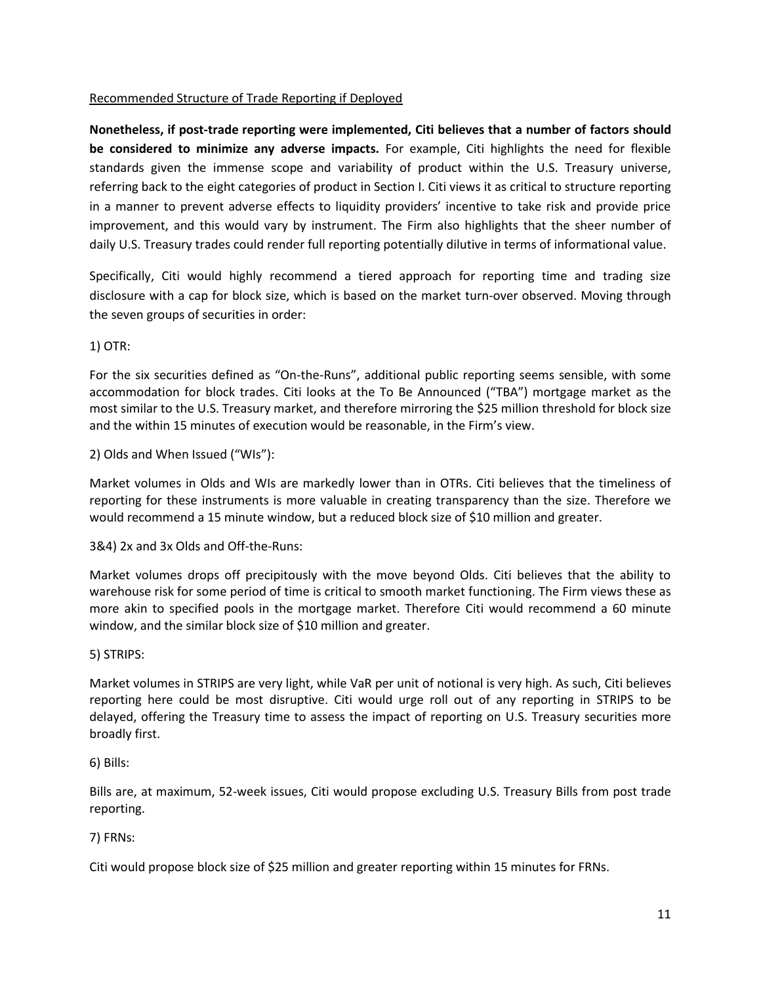## Recommended Structure of Trade Reporting if Deployed

**Nonetheless, if post-trade reporting were implemented, Citi believes that a number of factors should be considered to minimize any adverse impacts.** For example, Citi highlights the need for flexible standards given the immense scope and variability of product within the U.S. Treasury universe, referring back to the eight categories of product in Section I. Citi views it as critical to structure reporting in a manner to prevent adverse effects to liquidity providers' incentive to take risk and provide price improvement, and this would vary by instrument. The Firm also highlights that the sheer number of daily U.S. Treasury trades could render full reporting potentially dilutive in terms of informational value.

Specifically, Citi would highly recommend a tiered approach for reporting time and trading size disclosure with a cap for block size, which is based on the market turn-over observed. Moving through the seven groups of securities in order:

1) OTR:

For the six securities defined as "On-the-Runs", additional public reporting seems sensible, with some accommodation for block trades. Citi looks at the To Be Announced ("TBA") mortgage market as the most similar to the U.S. Treasury market, and therefore mirroring the \$25 million threshold for block size and the within 15 minutes of execution would be reasonable, in the Firm's view.

2) Olds and When Issued ("WIs"):

Market volumes in Olds and WIs are markedly lower than in OTRs. Citi believes that the timeliness of reporting for these instruments is more valuable in creating transparency than the size. Therefore we would recommend a 15 minute window, but a reduced block size of \$10 million and greater.

3&4) 2x and 3x Olds and Off-the-Runs:

Market volumes drops off precipitously with the move beyond Olds. Citi believes that the ability to warehouse risk for some period of time is critical to smooth market functioning. The Firm views these as more akin to specified pools in the mortgage market. Therefore Citi would recommend a 60 minute window, and the similar block size of \$10 million and greater.

#### 5) STRIPS:

Market volumes in STRIPS are very light, while VaR per unit of notional is very high. As such, Citi believes reporting here could be most disruptive. Citi would urge roll out of any reporting in STRIPS to be delayed, offering the Treasury time to assess the impact of reporting on U.S. Treasury securities more broadly first.

#### 6) Bills:

Bills are, at maximum, 52-week issues, Citi would propose excluding U.S. Treasury Bills from post trade reporting.

#### 7) FRNs:

Citi would propose block size of \$25 million and greater reporting within 15 minutes for FRNs.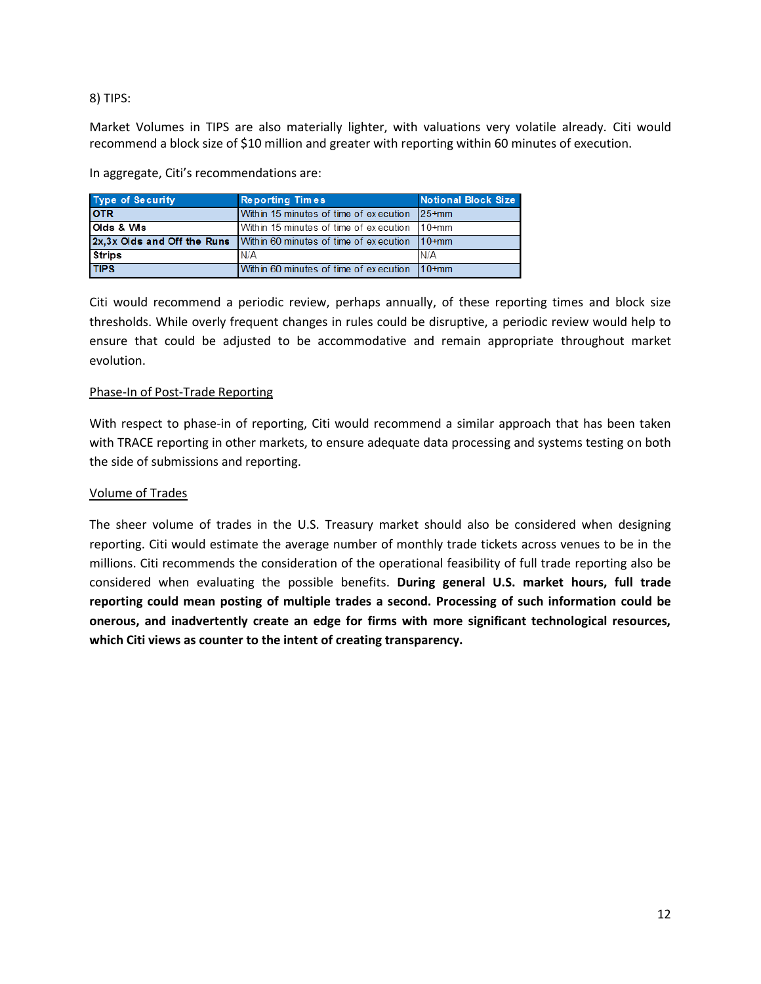8) TIPS:

Market Volumes in TIPS are also materially lighter, with valuations very volatile already. Citi would recommend a block size of \$10 million and greater with reporting within 60 minutes of execution.

In aggregate, Citi's recommendations are:

| <b>Type of Security</b> | <b>Reporting Times</b>                                              | <b>Notional Block Size</b> |
|-------------------------|---------------------------------------------------------------------|----------------------------|
| <b>OTR</b>              | Within 15 minutes of time of execution                              | $125+mm$                   |
| Olds & Wis              | Within 15 minutes of time of execution 10+mm                        |                            |
|                         | 2x, 3x Olds and Off the Runs Within 60 minutes of time of execution | $110+mm$                   |
| <b>Strips</b>           | N/A                                                                 | IN/A                       |
| <b>TIPS</b>             | Within 60 minutes of time of execution                              | $110+mm$                   |

Citi would recommend a periodic review, perhaps annually, of these reporting times and block size thresholds. While overly frequent changes in rules could be disruptive, a periodic review would help to ensure that could be adjusted to be accommodative and remain appropriate throughout market evolution.

#### Phase-In of Post-Trade Reporting

With respect to phase-in of reporting, Citi would recommend a similar approach that has been taken with TRACE reporting in other markets, to ensure adequate data processing and systems testing on both the side of submissions and reporting.

#### Volume of Trades

The sheer volume of trades in the U.S. Treasury market should also be considered when designing reporting. Citi would estimate the average number of monthly trade tickets across venues to be in the millions. Citi recommends the consideration of the operational feasibility of full trade reporting also be considered when evaluating the possible benefits. **During general U.S. market hours, full trade reporting could mean posting of multiple trades a second. Processing of such information could be onerous, and inadvertently create an edge for firms with more significant technological resources, which Citi views as counter to the intent of creating transparency.**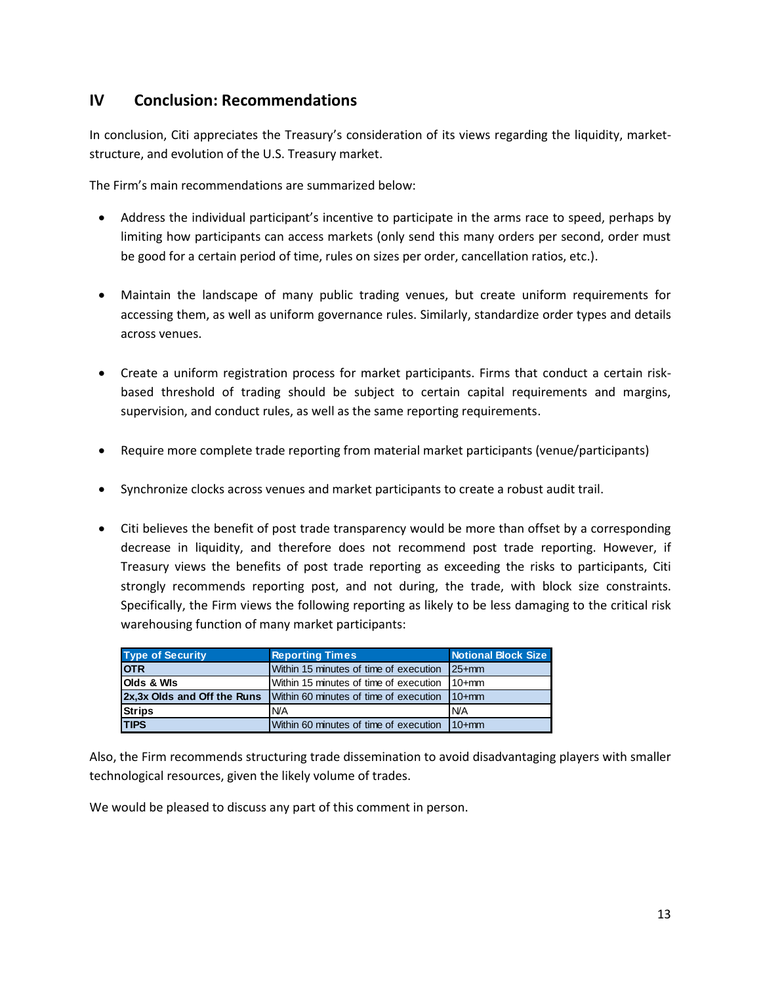# **IV Conclusion: Recommendations**

In conclusion, Citi appreciates the Treasury's consideration of its views regarding the liquidity, marketstructure, and evolution of the U.S. Treasury market.

The Firm's main recommendations are summarized below:

- Address the individual participant's incentive to participate in the arms race to speed, perhaps by limiting how participants can access markets (only send this many orders per second, order must be good for a certain period of time, rules on sizes per order, cancellation ratios, etc.).
- Maintain the landscape of many public trading venues, but create uniform requirements for accessing them, as well as uniform governance rules. Similarly, standardize order types and details across venues.
- Create a uniform registration process for market participants. Firms that conduct a certain riskbased threshold of trading should be subject to certain capital requirements and margins, supervision, and conduct rules, as well as the same reporting requirements.
- Require more complete trade reporting from material market participants (venue/participants)
- Synchronize clocks across venues and market participants to create a robust audit trail.
- Citi believes the benefit of post trade transparency would be more than offset by a corresponding decrease in liquidity, and therefore does not recommend post trade reporting. However, if Treasury views the benefits of post trade reporting as exceeding the risks to participants, Citi strongly recommends reporting post, and not during, the trade, with block size constraints. Specifically, the Firm views the following reporting as likely to be less damaging to the critical risk warehousing function of many market participants:

| <b>Type of Security</b>     | <b>Reporting Times</b>                 | <b>Notional Block Size</b> |
|-----------------------------|----------------------------------------|----------------------------|
| <b>OTR</b>                  | Within 15 minutes of time of execution | $125+mm$                   |
| <b>Olds &amp; Wis</b>       | Within 15 minutes of time of execution | $110+mm$                   |
| 2x,3x Olds and Off the Runs | Within 60 minutes of time of execution | $110+mm$                   |
| <b>Strips</b>               | <b>N/A</b>                             | IN/A                       |
| <b>TIPS</b>                 | Within 60 minutes of time of execution | $110+mm$                   |

Also, the Firm recommends structuring trade dissemination to avoid disadvantaging players with smaller technological resources, given the likely volume of trades.

We would be pleased to discuss any part of this comment in person.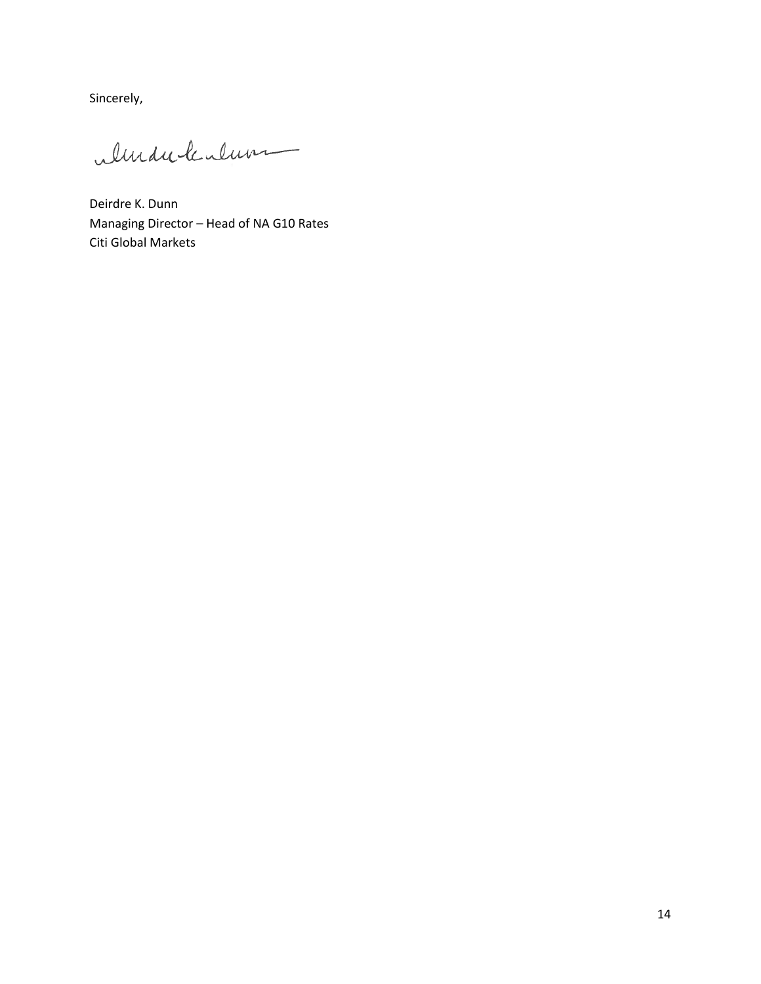Sincerely,

ulinduck alum

Deirdre K. Dunn Managing Director – Head of NA G10 Rates Citi Global Markets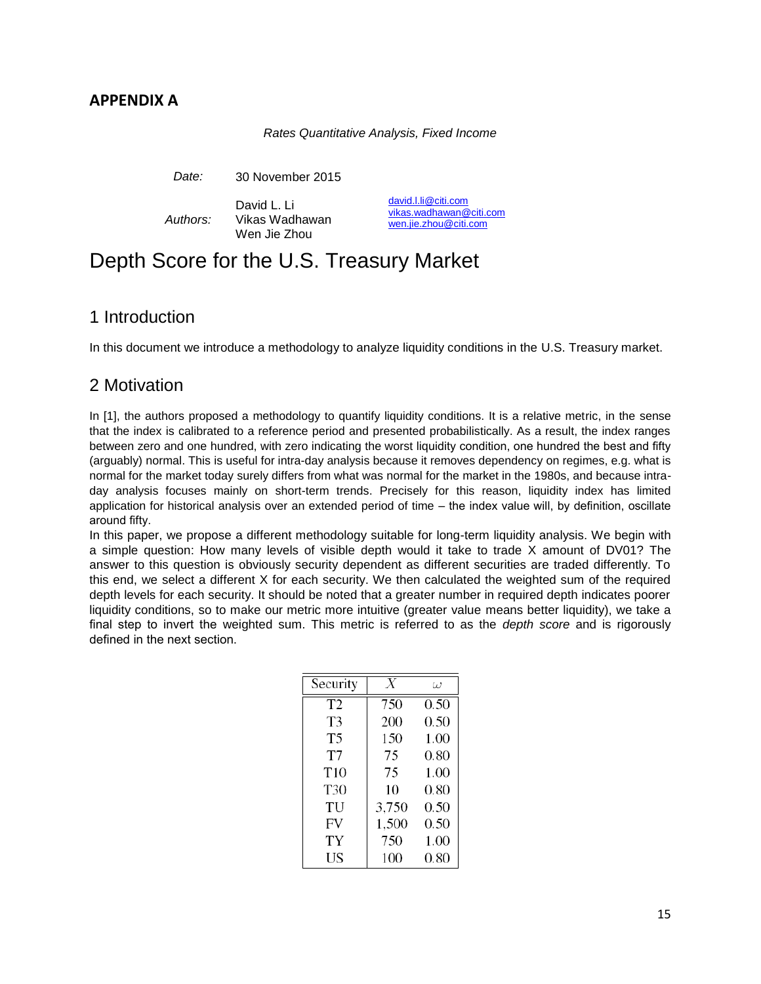## **APPENDIX A**

#### *Rates Quantitative Analysis, Fixed Income*

*Date:* 30 November 2015

*Authors:* David L. Li Vikas Wadhawan Wen Jie Zhou

[david.l.li@citi.com](mailto:david.l.li@citi.com) [vikas.wadhawan@citi.com](mailto:vikas.wadhawan@citi.com) [wen.jie.zhou@citi.com](mailto:wen.jie.zhou@citi.com)

# Depth Score for the U.S. Treasury Market

# 1 Introduction

In this document we introduce a methodology to analyze liquidity conditions in the U.S. Treasury market.

# 2 Motivation

In [1], the authors proposed a methodology to quantify liquidity conditions. It is a relative metric, in the sense that the index is calibrated to a reference period and presented probabilistically. As a result, the index ranges between zero and one hundred, with zero indicating the worst liquidity condition, one hundred the best and fifty (arguably) normal. This is useful for intra-day analysis because it removes dependency on regimes, e.g. what is normal for the market today surely differs from what was normal for the market in the 1980s, and because intraday analysis focuses mainly on short-term trends. Precisely for this reason, liquidity index has limited application for historical analysis over an extended period of time – the index value will, by definition, oscillate around fifty.

In this paper, we propose a different methodology suitable for long-term liquidity analysis. We begin with a simple question: How many levels of visible depth would it take to trade X amount of DV01? The answer to this question is obviously security dependent as different securities are traded differently. To this end, we select a different X for each security. We then calculated the weighted sum of the required depth levels for each security. It should be noted that a greater number in required depth indicates poorer liquidity conditions, so to make our metric more intuitive (greater value means better liquidity), we take a final step to invert the weighted sum. This metric is referred to as the *depth score* and is rigorously defined in the next section.

| Security        | Х     | ω        |
|-----------------|-------|----------|
| T <sub>2</sub>  | 750   | 0.50     |
| T3              | 200   | 0.50     |
| T5              | 150   | 1.00     |
| T7              | 75    | 0.80     |
| T <sub>10</sub> | 75    | 1.00     |
| T30             | 10    | 0.80     |
| TU              | 3,750 | 0.50     |
| FV              | 1,500 | 0.50     |
| TY              | 750   | 1.00     |
| US              | 100   | $0.80\,$ |